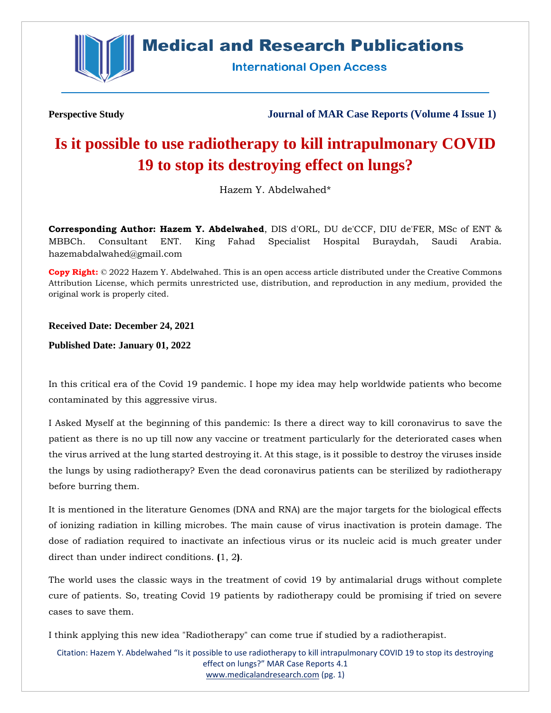

**Medical and Research Publications** 

**International Open Access** 

**Perspective Study Journal of MAR Case Reports (Volume 4 Issue 1)**

# **Is it possible to use radiotherapy to kill intrapulmonary COVID 19 to stop its destroying effect on lungs?**

Hazem Y. Abdelwahed\*

**Corresponding Author: Hazem Y. Abdelwahed**, DIS d'ORL, DU de'CCF, DIU de'FER, MSc of ENT & MBBCh. Consultant ENT. King Fahad Specialist Hospital Buraydah, Saudi Arabia. hazemabdalwahed@gmail.com

**Copy Right:** © 2022 Hazem Y. Abdelwahed. This is an open access article distributed under the Creative Commons Attribution License, which permits unrestricted use, distribution, and reproduction in any medium, provided the original work is properly cited.

**Received Date: December 24, 2021**

**Published Date: January 01, 2022**

In this critical era of the Covid 19 pandemic. I hope my idea may help worldwide patients who become contaminated by this aggressive virus.

I Asked Myself at the beginning of this pandemic: Is there a direct way to kill coronavirus to save the patient as there is no up till now any vaccine or treatment particularly for the deteriorated cases when the virus arrived at the lung started destroying it. At this stage, is it possible to destroy the viruses inside the lungs by using radiotherapy? Even the dead coronavirus patients can be sterilized by radiotherapy before burring them.

It is mentioned in the literature Genomes (DNA and RNA) are the major targets for the biological effects of ionizing radiation in killing microbes. The main cause of virus inactivation is protein damage. The dose of radiation required to inactivate an infectious virus or its nucleic acid is much greater under direct than under indirect conditions. **(**1, 2**)**.

The world uses the classic ways in the treatment of covid 19 by antimalarial drugs without complete cure of patients. So, treating Covid 19 patients by radiotherapy could be promising if tried on severe cases to save them.

I think applying this new idea "Radiotherapy" can come true if studied by a radiotherapist.

Citation: Hazem Y. Abdelwahed "Is it possible to use radiotherapy to kill intrapulmonary COVID 19 to stop its destroying effect on lungs?" MAR Case Reports 4.1 [www.medicalandresearch.com](http://www.medicalandresearch.com/) (pg. 1)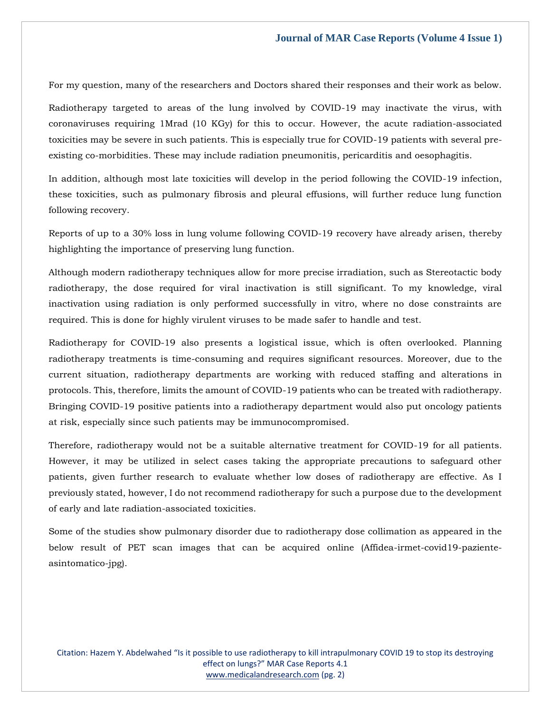For my question, many of the researchers and Doctors shared their responses and their work as below.

Radiotherapy targeted to areas of the lung involved by COVID-19 may inactivate the virus, with coronaviruses requiring 1Mrad (10 KGy) for this to occur. However, the acute radiation-associated toxicities may be severe in such patients. This is especially true for COVID-19 patients with several preexisting co-morbidities. These may include radiation pneumonitis, pericarditis and oesophagitis.

In addition, although most late toxicities will develop in the period following the COVID-19 infection, these toxicities, such as pulmonary fibrosis and pleural effusions, will further reduce lung function following recovery.

Reports of up to a 30% loss in lung volume following COVID-19 recovery have already arisen, thereby highlighting the importance of preserving lung function.

Although modern radiotherapy techniques allow for more precise irradiation, such as Stereotactic body radiotherapy, the dose required for viral inactivation is still significant. To my knowledge, viral inactivation using radiation is only performed successfully in vitro, where no dose constraints are required. This is done for highly virulent viruses to be made safer to handle and test.

Radiotherapy for COVID-19 also presents a logistical issue, which is often overlooked. Planning radiotherapy treatments is time-consuming and requires significant resources. Moreover, due to the current situation, radiotherapy departments are working with reduced staffing and alterations in protocols. This, therefore, limits the amount of COVID-19 patients who can be treated with radiotherapy. Bringing COVID-19 positive patients into a radiotherapy department would also put oncology patients at risk, especially since such patients may be immunocompromised.

Therefore, radiotherapy would not be a suitable alternative treatment for COVID-19 for all patients. However, it may be utilized in select cases taking the appropriate precautions to safeguard other patients, given further research to evaluate whether low doses of radiotherapy are effective. As I previously stated, however, I do not recommend radiotherapy for such a purpose due to the development of early and late radiation-associated toxicities.

Some of the studies show pulmonary disorder due to radiotherapy dose collimation as appeared in the below result of PET scan images that can be acquired online (Affidea-irmet-covid19-pazienteasintomatico-jpg).

Citation: Hazem Y. Abdelwahed "Is it possible to use radiotherapy to kill intrapulmonary COVID 19 to stop its destroying effect on lungs?" MAR Case Reports 4.1 [www.medicalandresearch.com](http://www.medicalandresearch.com/) (pg. 2)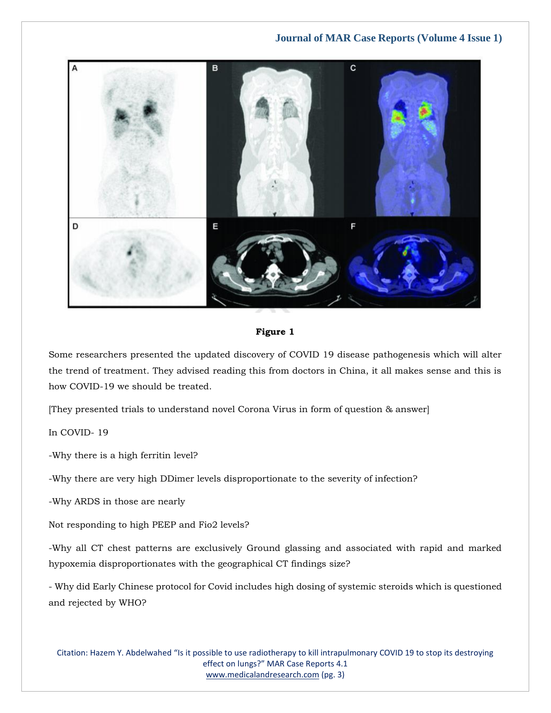**Journal of MAR Case Reports (Volume 4 Issue 1)**



**Figure 1**

Some researchers presented the updated discovery of COVID 19 disease pathogenesis which will alter the trend of treatment. They advised reading this from doctors in China, it all makes sense and this is how COVID-19 we should be treated.

[They presented trials to understand novel Corona Virus in form of question & answer]

In COVID- 19

-Why there is a high ferritin level?

-Why there are very high DDimer levels disproportionate to the severity of infection?

-Why ARDS in those are nearly

Not responding to high PEEP and Fio2 levels?

-Why all CT chest patterns are exclusively Ground glassing and associated with rapid and marked hypoxemia disproportionates with the geographical CT findings size?

- Why did Early Chinese protocol for Covid includes high dosing of systemic steroids which is questioned and rejected by WHO?

Citation: Hazem Y. Abdelwahed "Is it possible to use radiotherapy to kill intrapulmonary COVID 19 to stop its destroying effect on lungs?" MAR Case Reports 4.1 [www.medicalandresearch.com](http://www.medicalandresearch.com/) (pg. 3)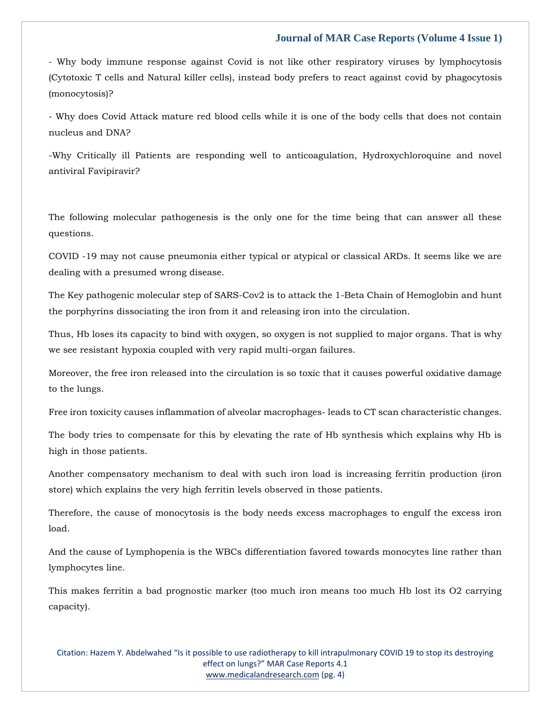#### **Journal of MAR Case Reports (Volume 4 Issue 1)**

- Why body immune response against Covid is not like other respiratory viruses by lymphocytosis (Cytotoxic T cells and Natural killer cells), instead body prefers to react against covid by phagocytosis (monocytosis)?

- Why does Covid Attack mature red blood cells while it is one of the body cells that does not contain nucleus and DNA?

-Why Critically ill Patients are responding well to anticoagulation, Hydroxychloroquine and novel antiviral Favipiravir?

The following molecular pathogenesis is the only one for the time being that can answer all these questions.

COVID -19 may not cause pneumonia either typical or atypical or classical ARDs. It seems like we are dealing with a presumed wrong disease.

The Key pathogenic molecular step of SARS-Cov2 is to attack the 1-Beta Chain of Hemoglobin and hunt the porphyrins dissociating the iron from it and releasing iron into the circulation.

Thus, Hb loses its capacity to bind with oxygen, so oxygen is not supplied to major organs. That is why we see resistant hypoxia coupled with very rapid multi-organ failures.

Moreover, the free iron released into the circulation is so toxic that it causes powerful oxidative damage to the lungs.

Free iron toxicity causes inflammation of alveolar macrophages- leads to CT scan characteristic changes.

The body tries to compensate for this by elevating the rate of Hb synthesis which explains why Hb is high in those patients.

Another compensatory mechanism to deal with such iron load is increasing ferritin production (iron store) which explains the very high ferritin levels observed in those patients.

Therefore, the cause of monocytosis is the body needs excess macrophages to engulf the excess iron load.

And the cause of Lymphopenia is the WBCs differentiation favored towards monocytes line rather than lymphocytes line.

This makes ferritin a bad prognostic marker (too much iron means too much Hb lost its O2 carrying capacity).

Citation: Hazem Y. Abdelwahed "Is it possible to use radiotherapy to kill intrapulmonary COVID 19 to stop its destroying effect on lungs?" MAR Case Reports 4.1 [www.medicalandresearch.com](http://www.medicalandresearch.com/) (pg. 4)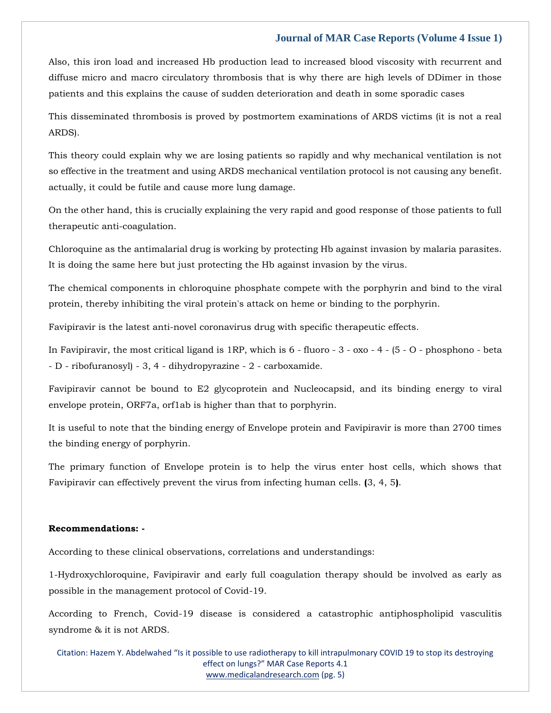### **Journal of MAR Case Reports (Volume 4 Issue 1)**

Also, this iron load and increased Hb production lead to increased blood viscosity with recurrent and diffuse micro and macro circulatory thrombosis that is why there are high levels of DDimer in those patients and this explains the cause of sudden deterioration and death in some sporadic cases

This disseminated thrombosis is proved by postmortem examinations of ARDS victims (it is not a real ARDS).

This theory could explain why we are losing patients so rapidly and why mechanical ventilation is not so effective in the treatment and using ARDS mechanical ventilation protocol is not causing any benefit. actually, it could be futile and cause more lung damage.

On the other hand, this is crucially explaining the very rapid and good response of those patients to full therapeutic anti-coagulation.

Chloroquine as the antimalarial drug is working by protecting Hb against invasion by malaria parasites. It is doing the same here but just protecting the Hb against invasion by the virus.

The chemical components in chloroquine phosphate compete with the porphyrin and bind to the viral protein, thereby inhibiting the viral protein's attack on heme or binding to the porphyrin.

Favipiravir is the latest anti-novel coronavirus drug with specific therapeutic effects.

In Favipiravir, the most critical ligand is 1RP, which is 6 - fluoro - 3 - oxo - 4 - (5 - O - phosphono - beta - D - ribofuranosyl) - 3, 4 - dihydropyrazine - 2 - carboxamide.

Favipiravir cannot be bound to E2 glycoprotein and Nucleocapsid, and its binding energy to viral envelope protein, ORF7a, orf1ab is higher than that to porphyrin.

It is useful to note that the binding energy of Envelope protein and Favipiravir is more than 2700 times the binding energy of porphyrin.

The primary function of Envelope protein is to help the virus enter host cells, which shows that Favipiravir can effectively prevent the virus from infecting human cells. **(**3, 4, 5**)**.

#### **Recommendations: -**

According to these clinical observations, correlations and understandings:

1-Hydroxychloroquine, Favipiravir and early full coagulation therapy should be involved as early as possible in the management protocol of Covid-19.

According to French, Covid-19 disease is considered a catastrophic antiphospholipid vasculitis syndrome & it is not ARDS.

Citation: Hazem Y. Abdelwahed "Is it possible to use radiotherapy to kill intrapulmonary COVID 19 to stop its destroying effect on lungs?" MAR Case Reports 4.1 [www.medicalandresearch.com](http://www.medicalandresearch.com/) (pg. 5)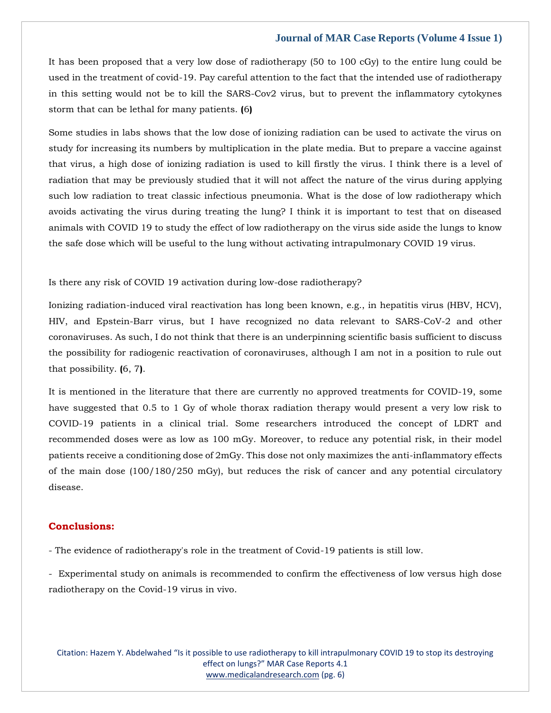#### **Journal of MAR Case Reports (Volume 4 Issue 1)**

It has been proposed that a very low dose of radiotherapy (50 to 100 cGy) to the entire lung could be used in the treatment of covid-19. Pay careful attention to the fact that the intended use of radiotherapy in this setting would not be to kill the SARS-Cov2 virus, but to prevent the inflammatory cytokynes storm that can be lethal for many patients. **(**6**)**

Some studies in labs shows that the low dose of ionizing radiation can be used to activate the virus on study for increasing its numbers by multiplication in the plate media. But to prepare a vaccine against that virus, a high dose of ionizing radiation is used to kill firstly the virus. I think there is a level of radiation that may be previously studied that it will not affect the nature of the virus during applying such low radiation to treat classic infectious pneumonia. What is the dose of low radiotherapy which avoids activating the virus during treating the lung? I think it is important to test that on diseased animals with COVID 19 to study the effect of low radiotherapy on the virus side aside the lungs to know the safe dose which will be useful to the lung without activating intrapulmonary COVID 19 virus.

Is there any risk of COVID 19 activation during low-dose radiotherapy?

Ionizing radiation-induced viral reactivation has long been known, e.g., in hepatitis virus (HBV, HCV), HIV, and Epstein-Barr virus, but I have recognized no data relevant to SARS-CoV-2 and other coronaviruses. As such, I do not think that there is an underpinning scientific basis sufficient to discuss the possibility for radiogenic reactivation of coronaviruses, although I am not in a position to rule out that possibility. **(**6, 7**)**.

It is mentioned in the literature that there are currently no approved treatments for COVID-19, some have suggested that 0.5 to 1 Gy of whole thorax radiation therapy would present a very low risk to COVID-19 patients in a clinical trial. Some researchers introduced the concept of LDRT and recommended doses were as low as 100 mGy. Moreover, to reduce any potential risk, in their model patients receive a conditioning dose of 2mGy. This dose not only maximizes the anti-inflammatory effects of the main dose (100/180/250 mGy), but reduces the risk of cancer and any potential circulatory disease.

## **Conclusions:**

- The evidence of radiotherapy's role in the treatment of Covid-19 patients is still low.

- Experimental study on animals is recommended to confirm the effectiveness of low versus high dose radiotherapy on the Covid-19 virus in vivo.

Citation: Hazem Y. Abdelwahed "Is it possible to use radiotherapy to kill intrapulmonary COVID 19 to stop its destroying effect on lungs?" MAR Case Reports 4.1 [www.medicalandresearch.com](http://www.medicalandresearch.com/) (pg. 6)